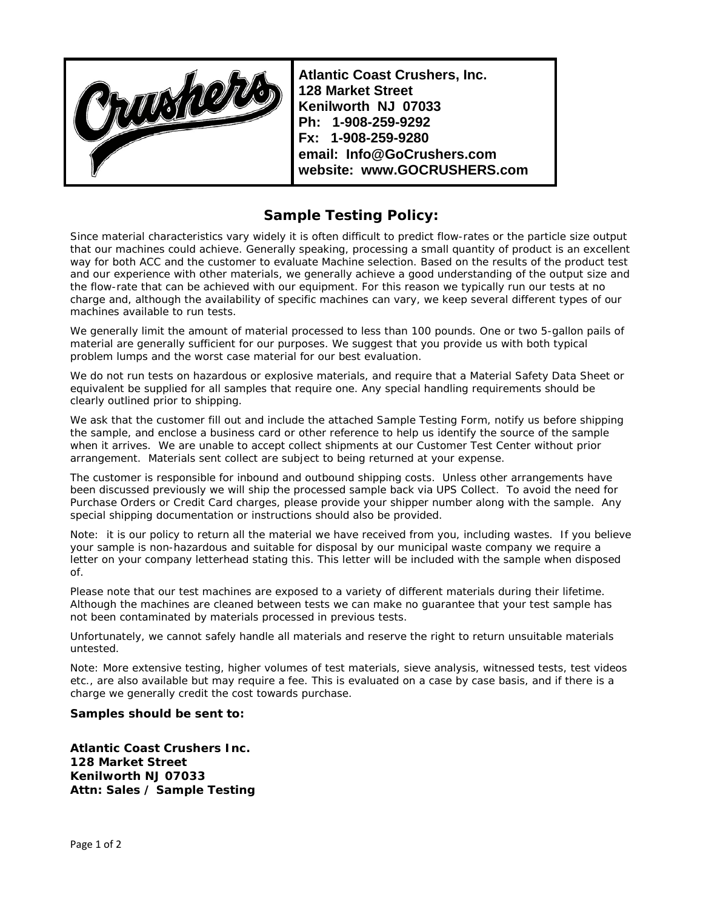Opushope

**Atlantic Coast Crushers, Inc. 128 Market Street Kenilworth NJ 07033 Ph: 1-908-259-9292 Fx: 1-908-259-9280 email: Info@GoCrushers.com website: www.GOCRUSHERS.com**

## **Sample Testing Policy:**

Since material characteristics vary widely it is often difficult to predict flow-rates or the particle size output that our machines could achieve. Generally speaking, processing a small quantity of product is an excellent way for both ACC and the customer to evaluate Machine selection. Based on the results of the product test and our experience with other materials, we generally achieve a good understanding of the output size and the flow-rate that can be achieved with our equipment. For this reason we typically run our tests at no charge and, although the availability of specific machines can vary, we keep several different types of our machines available to run tests.

We generally limit the amount of material processed to less than 100 pounds. One or two 5-gallon pails of material are generally sufficient for our purposes. We suggest that you provide us with both typical problem lumps and the worst case material for our best evaluation.

We do not run tests on hazardous or explosive materials, and require that a Material Safety Data Sheet or equivalent be supplied for all samples that require one. Any special handling requirements should be clearly outlined prior to shipping.

We ask that the customer fill out and include the attached Sample Testing Form, notify us before shipping the sample, and enclose a business card or other reference to help us identify the source of the sample when it arrives. We are unable to accept collect shipments at our Customer Test Center without prior arrangement. Materials sent collect are subject to being returned at your expense.

The customer is responsible for inbound and outbound shipping costs. Unless other arrangements have been discussed previously we will ship the processed sample back via UPS Collect. To avoid the need for Purchase Orders or Credit Card charges, please provide your shipper number along with the sample. Any special shipping documentation or instructions should also be provided.

Note: it is our policy to return all the material we have received from you, including wastes. If you believe your sample is non-hazardous and suitable for disposal by our municipal waste company we require a letter on your company letterhead stating this. This letter will be included with the sample when disposed of.

Please note that our test machines are exposed to a variety of different materials during their lifetime. Although the machines are cleaned between tests we can make no guarantee that your test sample has not been contaminated by materials processed in previous tests.

Unfortunately, we cannot safely handle all materials and reserve the right to return unsuitable materials untested.

Note: More extensive testing, higher volumes of test materials, sieve analysis, witnessed tests, test videos etc., are also available but may require a fee. This is evaluated on a case by case basis, and if there is a charge we generally credit the cost towards purchase.

## **Samples should be sent to:**

**Atlantic Coast Crushers Inc. 128 Market Street Kenilworth NJ 07033 Attn: Sales / Sample Testing**